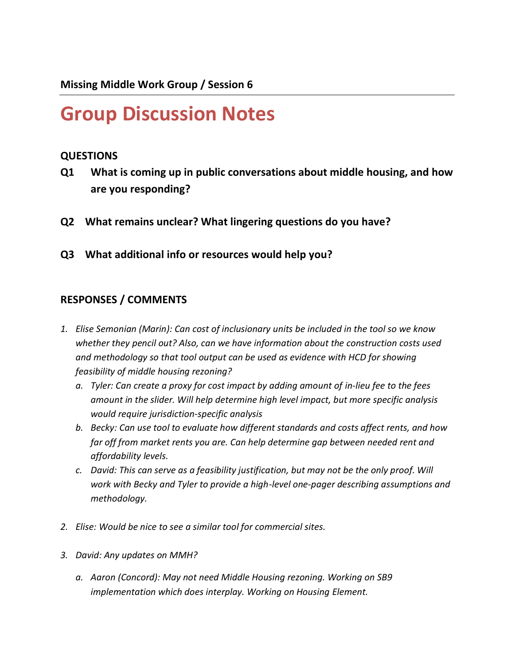## **Group Discussion Notes**

## **QUESTIONS**

- **Q1 What is coming up in public conversations about middle housing, and how are you responding?**
- **Q2 What remains unclear? What lingering questions do you have?**
- **Q3 What additional info or resources would help you?**

## **RESPONSES / COMMENTS**

- *1. Elise Semonian (Marin): Can cost of inclusionary units be included in the tool so we know whether they pencil out? Also, can we have information about the construction costs used and methodology so that tool output can be used as evidence with HCD for showing feasibility of middle housing rezoning?*
	- *a. Tyler: Can create a proxy for cost impact by adding amount of in-lieu fee to the fees amount in the slider. Will help determine high level impact, but more specific analysis would require jurisdiction-specific analysis*
	- *b. Becky: Can use tool to evaluate how different standards and costs affect rents, and how far off from market rents you are. Can help determine gap between needed rent and affordability levels.*
	- *c. David: This can serve as a feasibility justification, but may not be the only proof. Will work with Becky and Tyler to provide a high-level one-pager describing assumptions and methodology.*
- *2. Elise: Would be nice to see a similar tool for commercial sites.*
- *3. David: Any updates on MMH?*
	- *a. Aaron (Concord): May not need Middle Housing rezoning. Working on SB9 implementation which does interplay. Working on Housing Element.*